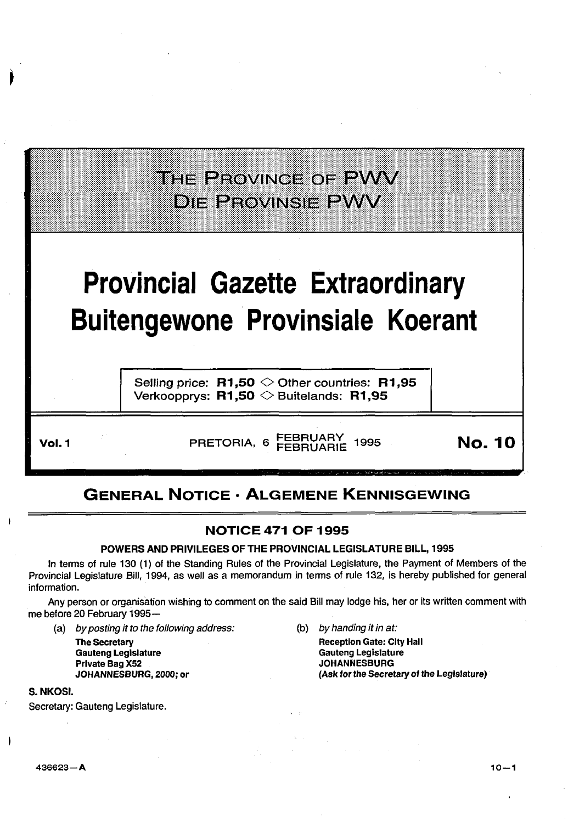## THE PROVINCE OF PWV **DIE PROVINSIE PWV**

## **Provincial Gazette Extraordinary Buitengewone Provinsiale Koerant**

Selling price:  $R1,50 \diamond 0$ ther countries: R1,95 Verkoopprys:  $R1,50 \diamondsuit$  Buitelands: R1,95

Vol. 1 FRETORIA, 6 FEBRUARY 1995 **No. 10** 

### GENERAL NOTICE • ALGEMENE KENNISGEWING

#### NOTICE 471 OF 1995

#### POWERS AND PRIVILEGES OF THE PROVINCIAL LEGISLATURE BILL, 1995

In terms of rule 130 (1) of the Standing Rules of the Provincial Legislature, the Payment of Members of the Provincial Legislature Bill, 1994, as well as a memorandum in terms of rule 132, is hereby published for general information.

Any person or organisation wishing to comment on the said Bill may lodge his, her or its written comment with me before 20 February 1995-

(a) by posting it to the following address: (b) by handing it in at:

The Secretary Gauteng Legislature Private Bag X52 JOHANNESBURG, 2000; or

Reception Gate: City Hall Gauteng Legislature **JOHANNESBURG** {Ask for the Secretary of the Legislature)

S. NKOSI.

Secretary: Gauteng Legislature.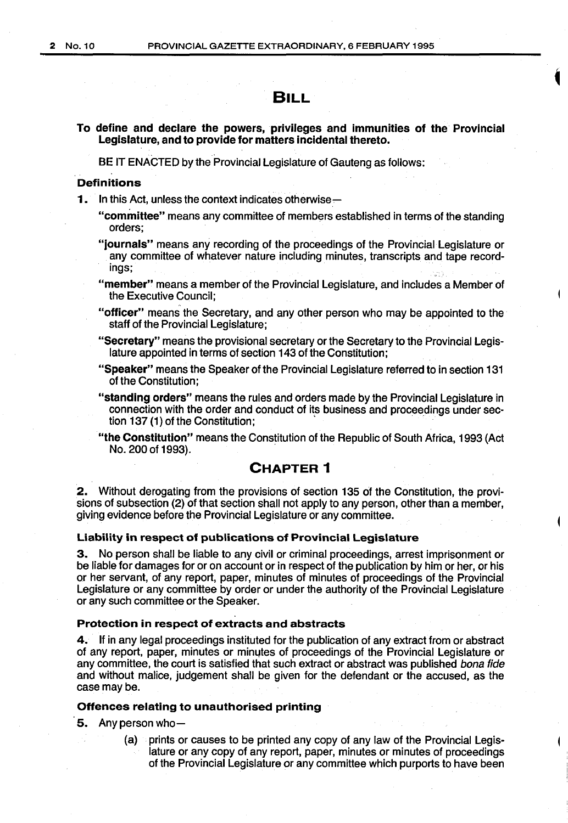#### **BILL**

#### **To define and declare the powers, privileges and immunities of the Provincial Legislature, and to provide for matters incidental thereto.**

BE IT ENACTED by the Provincial Legislature of Gauteng as follows:

#### **Definitions**

**1.** In this Act, unless the context indicates otherwise-

- **"cominittee"** means any committee of members established in terms of the standing orders;
- **"journals"** means any recording of the proceedings of the Provincial Legislature or any committee of whatever nature including minutes, transcripts and tape record· ings;
- **"member"** means a member of the Provincial Legislature, and includes a Member of the Executive Council;
- **"officer"** means the Secretary, and any other person who may be appointed to the staff of the Provincial Legislature;
- **"Secretary"** means the provisional secretary or the Secretary to the Provincial Legislature appointed in terms of section 143 of the Constitution;
- **"Speaker"** means the Speaker of the Provincial Legislature referred to in section 131 of the Constitution;
- **"standing orders"** means the rules and orders made by the Provincial Legislature in connection with the order and conduct of its business and proceedings under section 137 (1) of the Constitution;
- **"the Constitution"** means the Constitution of the Republic of South Africa, 1993 (Act No. 200 of 1993).

#### **CHAPTER 1**

**2.** Without derogating from the provisions of section 135 of the Constitution, the provi· sions of subsection (2) of that section shall not apply to any person, other than a member, giving evidence before the Provincial Legislature or any committee.

#### **Liability in respect of publications of Provincial Legislature**

**3.** No person shall be liable to any civil or criminal proceedings, arrest imprisonment or be liable for damages for or on account or in respect of the publication by him or her, or his or her servant, of any report, paper, minutes of minutes of proceedings of the Provincial Legislature or any committee by order or under the authority of the Provincial Legislature or any such committee or the Speaker.

#### **Protection in respect of extracts and abstracts**

**4.** If in any legal proceedings instituted for the publication of any extract from or abstract of any report, paper, minutes or minutes of proceedings of the Provincial Legislature or any committee, the court is satisfied that such extract or abstract was published bona fide and without malice, judgement shall be given for the defendant or the accused, as the case maybe.

#### **Offences relating to unauthorised printing**

**5.** Any person who-

(a) prints or causes to be printed any copy of any law of the Provincial Legislature or any copy of any report, paper, minutes or minutes of proceedings of the Provincial Legislature or any committee which purports to have been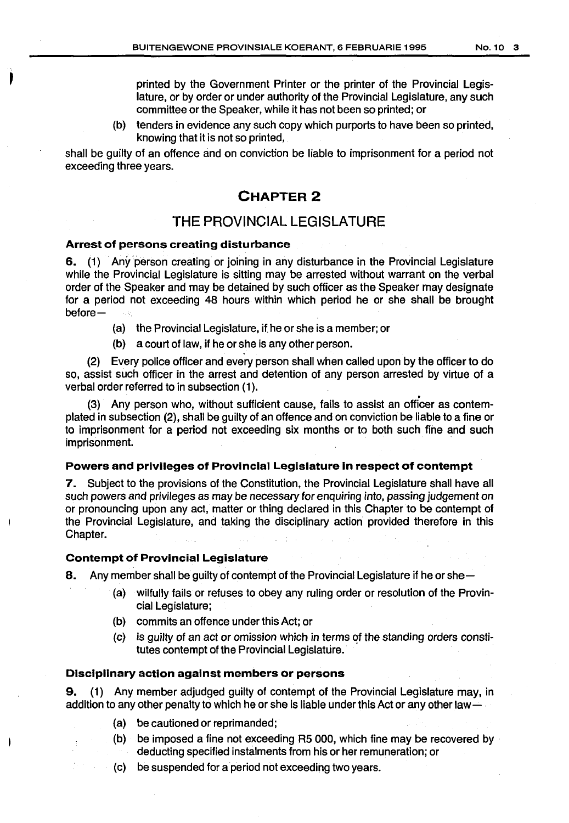printed by the Government Printer or the printer of the Provincial Legislature, or by order or under authority of the Provincial Legislature, any such committee or the Speaker, while it has not been so printed; or

(b) tenders in evidence any such copy which purports to have been so printed, knowing that it is not so printed,

shall be guilty of an offence and on conviction be liable to imprisonment for a period not exceeding three years.

#### **CHAPTER 2**

#### THE PROVINCIAL LEGISLATURE

#### Arrest of persons creating disturbance

,<br>)

6. (1) Any person creating or joining in any disturbance in the Provincial Legislature while the Provincial Legislature is sitting may be arrested without warrant on the verbal order of the Speaker and may be detained by such officer as the Speaker may designate for a period not exceeding 48 hours within which period he or she shall be brought before- $\sim$   $\sim$ 

- (a) the Provincial Legislature, if. he or she is a member; or
- (b) a court of law, if he or she is any other person.

(2) Every police officer and every person shall when called upon by the officer to do so, assist such officer in the arrest and detention of any person arrested by virtue of a verbal order referred to in subsection (1).

(3) Any person who, without sufficient cause, fails to assist an officer as contemplated in subsection (2), shall be guilty of an offence and on conviction be liable to a fine or to imprisonment for a period not exceeding six months or to both such fihe and such imprisonment.

#### Powers and privileges of Provincial Legislature in respect of contempt

7. Subject to the provisions of the Constitution, the Provincial Legislature shall have all such powers and privileges as may be necessary for enquiring into, passing judgement on or pronouncing upon any act, matter or thing declared in this Chapter to be contempt of the Provincial Legislature, and taking the disciplinary action provided therefore in this Chapter.

#### Contempt of Provincial Legislature

8. Any member shall be guilty of contempt of the Provincial Legislature if he or she-

- (a) wilfully fails or refuses to obey any ruling order or resolution of the Provincial Legislature;
- (b) commits an offence under this Act; or
- $(c)$  is guilty of an act or omission which in terms of the standing orders constitutes contempt of the Provincial Legislature.

#### Disciplinary action against members or persons

9. (1) Any member adjudged guilty of contempt of the Provincial Legislature may, in addition to any other penalty to which he or she is liable under this Act or any other law-

- (a) be cautioned or reprimanded;
- (b) be imposed a fine not exceeding R5 000, which fine may be recovered by deducting specified instalments from his or her remuneration; or
- (c) be suspended for a period not exceeding two years.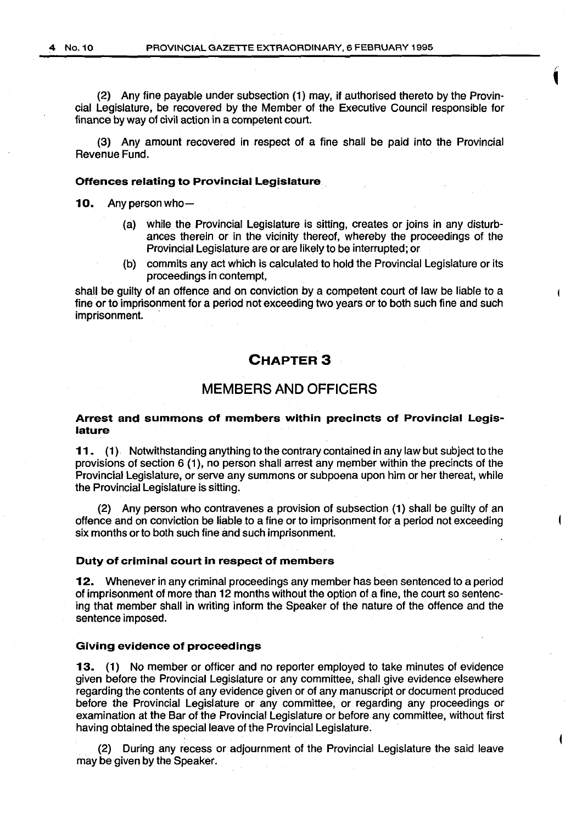(2) Any fine payable under subsection (1) may, if authorised thereto by the Provincial Legislature, be recovered by the Member of the Executive Council responsible for finance by way of civil action in a competent court.

(3) Any amount recovered in respect of a fine shall be paid into the Provincial Revenue Fund.

#### **Offences relating to Provincial Legislature**

**10.** Any person who-

- (a) while the Provincial Legislature is sitting, creates or joins in any disturbances therein or in the vicinity thereof, whereby the proceedings of the Provincial Legislature are or are likely to be interrupted; or
- (b) commits any act which is calculated to hold the Provincial Legislature or its proceedings in contempt,

shall be guilty of an offence and on conviction by a competent court of law be liable to a fine or to imprisonment for a period not exceeding two years or to both such fine and such imprisonment.

#### **CHAPTER3**

#### **MEMBERS AND OFFICERS**

#### **Arrest and summons of members within precincts of Provincial Legislature**

**11. (1).** Notwithstanding anything to the contrary contained in any law but subject to the provisions of section 6 (1 ), no person shall arrest any member within the precincts of the Provincial Legislature, or serve any summons or subpoena upon him or her thereat, while the Provincial Legislature is sitting.

(2) Any person who contravenes a provision of subsection **(1)** shall be guilty of an offence and on conviction be liable to a fine or to imprisonment for a period not exceeding six months or to both such fine and such imprisonment.

#### **Duty of criminal court in respect of members**

**12.** Whenever in any criminal proceedings any member has been sentenced to a period of imprisonment of more than 12 months without the option of a fine, the court so sentencing that member shall in writing inform the Speaker of the nature of the offence and the sentence imposed.

#### **Giving evidence of proceedings**

**13.** (1) No member or officer and no reporter employed to take minutes of evidence given before the Provincial Legislature or any committee, shall give evidence elsewhere regarding the contents of any evidence given or of any manuscript or document produced before the Provincial Legislature or any committee, or regarding any proceedings or examination at the Bar of the Provincial Legislature or before any committee, without first having obtained the special leave of the Provincial Legislature.

(2) During any recess or adjournment of the Provincial Legislature the said leave may be given by the Speaker.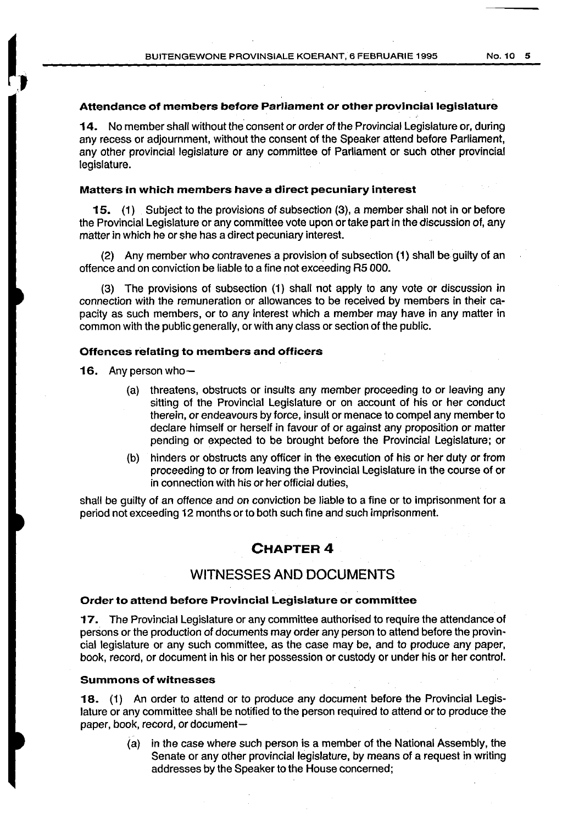#### **Attendance of members before Parliament or other provincial legislature**

**14.** No member shall without the consent or order of the Provincial Legislature or, during any recess or adjournment, without the consent of the Speaker attend before Parliament, any other provincial legislature or any committee of Parliament or such other provincial legislature.

#### **Matters in which members have a direct pecuniary interest**

**15.** (1) Subject to the provisions of subsection (3), a member shalt not in or before the Provincial Legislature or any committee vote upon or take part in the discussion of, any matter in which he or she has a direct pecuniary interest.

(2) Any member who contravenes a provision of subsection **(1)** shall be guilty of an offence and on conviction be liable to a fine not exceeding AS 000.

(3) The provisions of subsection (1) shall not apply to any vote or discussion in connection with the remuneration or allowances to be received by members in their capacity as such members, or to any interest which a member may have in any matter in common with the public generally, or with any class or section of the public.

#### **Offences relating to members and officers**

16. Any person who-

- (a) threatens, obstructs or insults any member proceeding to or leaving any sitting of the Provincial Legislature or on account of his or her conduct therein, or endeavours by force, insult or menace to compel any member to declare himself or herself in favour of or against any proposition or matter pending or expected to be brought before the Provincial Legislature; or
- (b) hinders or obstructs any officer in the execution of his or her duty or from proceeding to or from leaving the Provincial Legislature in the course of or in connection with his or her official duties,

shall be guilty of an offence and on conviction be liable to a fine or to imprisonment for a period not exceeding 12 months or to both such fine and such imprisonment.

#### **CHAPTER4**

#### **WITNESSES AND DOCUMENTS**

#### **Order to attend before Provincial Legislature or committee**

**17.** The Provincial Legislature or any committee authorised to require the attendance of persons or the production of documents may order any person to attend before the provincial legislature or any such committee, as the case may be, and to produce any paper, book, record, or document in his or her possession or custody or under his or her control.

#### **Summons of witnesses**

**18.** (1) An order to attend or to produce any document before the Provincial Legislature or any committee shall be notified to the person required to attend or to produce the paper, book, record, or document-

> (a) in the case where such person is a member of the National Assembly, the Senate or any other provincial legislature, by means of a request in writing addresses by the Speaker to the House concerned;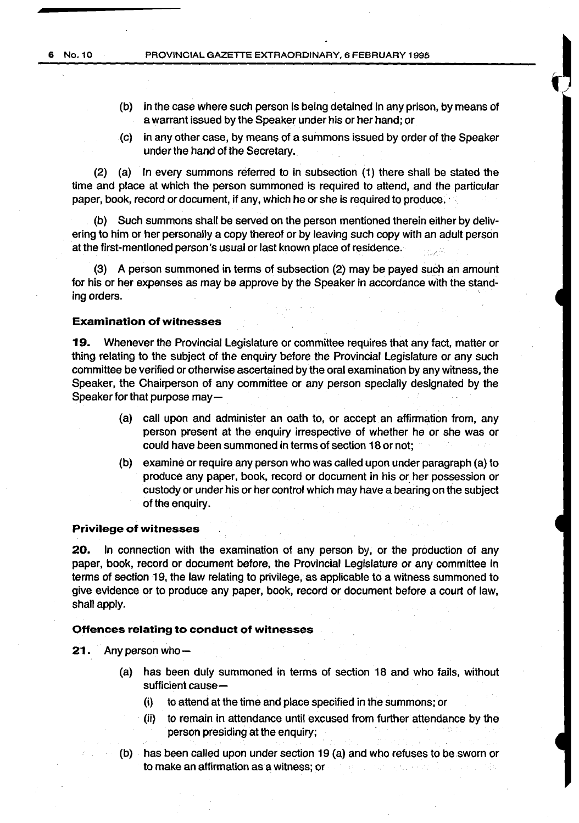- (b) in the case where such person is being detained in any prison, by means of a warrant issued by the Speaker under his or her hand; or
- (c) in any other case, by means of a summons issued by order of the Speaker under the hand of the Secretary.

(2) (a) In every summons referred to in subsection (1) there shall be stated the time and place at which the person summoned is required to attend, and the particular paper, book, record or document, if any, which he or she is required to produce.

(b) Such summons shall be served on the person mentioned therein either by delivering to him or her personally a copy thereof or by leaving such copy with an adult person at the first-mentioned person's usual or last known place of residence.

(3) A person summoned in terms of subsection (2) may be payed such an amount for his or her expenses as may be approve by the Speaker in accordance with the standing orders.

#### **Examination of witnesses**

**19.** Whenever the Provincial Legislature or committee requires that any fact, matter or thing relating to the subject of the enquiry before the Provincial Legislature or any such committee be verified or otherwise ascertained by the oral examination by any witness, the Speaker, the Chairperson of any committee or any person specially designated by the Speaker for that purpose may-

- (a) call upon and administer an oath to, or accept an affirmation from, any person present at the enquiry irrespective of whether he or she was or could have been summoned in terms of section 18 or not;
- (b) examine or require any person who was called upon under paragraph (a) to produce any paper, book, record or document in his or her possession or custody or under his or her control which may have a bearing on the subject of the enquiry.

#### **Privilege of witnesses**

**20.** In connection with the examination of any person by, or the production of any paper, book, record or document before, the Provincial Legislature or any committee in terms of section 19, the law relating to privilege, as applicable to a witness summoned to give evidence or to produce any paper, book, record or document before a court of law, shall apply.

#### **Offences relating to conduct of witnesses**

#### **21.** Any person who-

- (a) has been duly summoned in terms of section 18 and who fails, without sufficient cause-
	- (i) to attend at the time and place specified in the summons; or
	- (ii) to remain in attendance until excused from further attendance by the person presiding at the enquiry;
- (b) has been called upon under section 19 (a) and who refuses to be sworn or to make an affirmation as a witness; or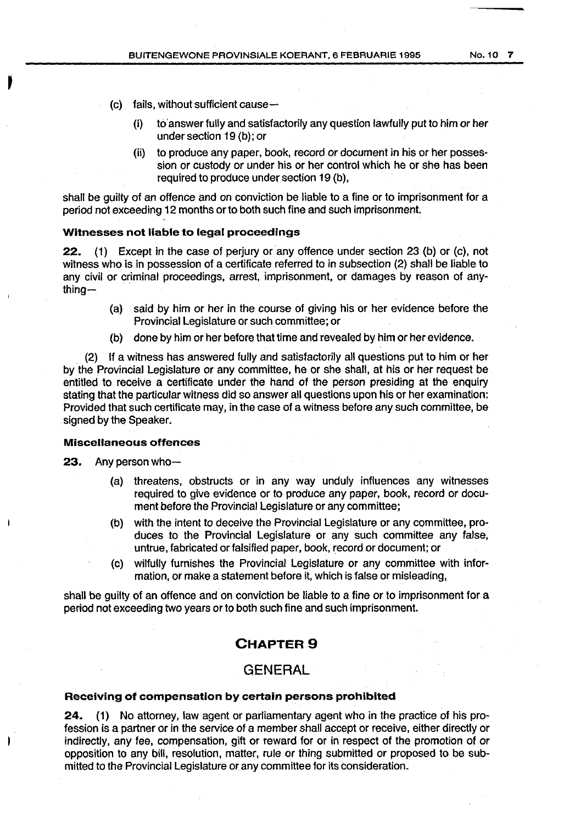- (c) fails, without sufficient cause-
	- (i) to' answer fully and satisfactorily any question lawfully put to him or her under section 19 (b); or
	- (ii) to produce any paper, book, record or document in his or her possession or custody or under his or her control which he or she has been required to produce under section 19 (b),

shall be guilty of an offence and on conviction be liable to a fine or to imprisonment for a period not exceeding 12 months or to both such fine and such imprisonment.

#### **Witnesses not liable to legal proceedings**

**22.** (1) Except in the case of perjury or any offence under section 23 (b) or (c), not witness who is in possession of a certificate referred to in subsection (2) shall be liable to any civil or criminal proceedings, arrest, imprisonment, or damages by reason of anything $-$ 

- (a) said by him or her in the course of giving his or her evidence before the Provincial Legislature or such committee; or
- (b) done by him or her before that time and revealed by him or her evidence.

(2) If a witness has answered fully and satisfactorily all questions put to him or her by the Provincial Legislature or any committee, he or she shall, at his or her request be entitled to receive a certificate under the hand of the person presiding at the enquiry stating that the particular witness did so answer all questions upon his or her examination: Provided that such certificate may, in the case of a witness before any such committee, be signed by the Speaker.

#### **Miscellaneous offences**

**23.** Any person who-

 $\overline{\phantom{a}}$ 

- (a) threatens, obstructs or in any way unduly influences any witnesses required to give evidence or to produce any paper, book, record or document before the Provincial Legislature or any committee;
- (b) with the intent to deceive the Provincial Legislature or any committee, produces to the Provincial Legislature or any such committee any false, untrue, fabricated or falsified paper, book, record or document; or
- (c) wilfully furnishes the Provincial Legislature or any committee with information, or make a statement before it, which is false or misleading,

shall be guilty of an offence and on conviction be liable to a fine or to imprisonment for a period not exceeding two years or to both such fine and such imprisonment.

#### **CHAPTER9**

#### **GENERAL**

#### **Receiving of compensation by certain persons prohibited**

**24.** (1) No attorney, law agent or parliamentary agent who in the practice of his profession is a partner or in the service of a member shall accept or receive, either directly or indirectly, any fee, compensation, gift or reward for or in respect of the promotion of or opposition to any bill, resolution, matter, rule or thing submitted or proposed to be submitted to the Provincial Legislature or any committee for its consideration.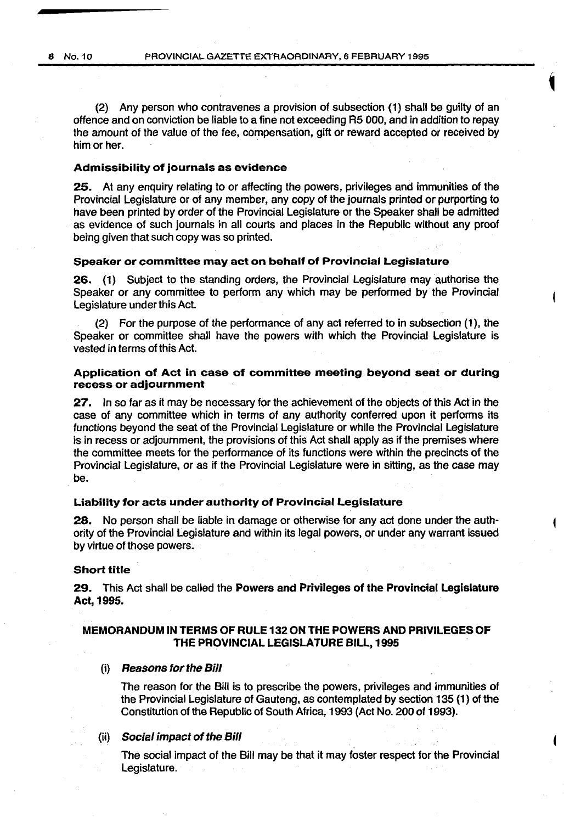(2) Any person who contravenes a provision of subsection (1) shall be guilty of an offence and on conviction be liable to a fine not exceeding R5 000, and in addition to repay the amount of the value of the fee, compensation, gift or reward accepted or received by him or her.

#### Admissibility of journals as evidence

25. At any enquiry relating to or affecting the powers, privileges and immunities of the Provincial Legislature or of any member, any copy of the journals printed or purporting to have been printed by order of the Provincial Legislature or the Speaker shall be admitted as evidence of such journals in all courts and places in the Republic without any proof being given that such copy was so printed.

#### Speaker or committee may act on behalf of Provincial Legislature

26. (1) Subject to the standing orders, the Provincial Legislature may authorise the Speaker or any committee to perform any which may be performed by the Provincial Legislature under this Act.

(2) For the purpose of the performance of any act referred to in subsection (1), the Speaker or committee shall have the powers with which the Provincial Legislature is vested in terms of this Act.

#### Application of Act in case of committee meeting beyond seat or during recess or adjournment

27. In so far as it may be necessary for the achievement of the objects of this Act in the case of any committee which in terms of any authority conferred upon it performs its functions beyond the seat of the Provincial Legislature or while the Provincial Legislature is in recess or adjournment, the provisions of this Act shall apply as if the premises where the committee meets for the performance of its functions were within the precincts of the Provincial Legislature, or as if the Provincial Legislature were in sitting, as the case may be.

#### Liability for acts under authority of Provincial Legislature

28. No person shall be liable in damage or otherwise for any act done under the authority of the Provincial Legislature and within its legal powers, or under any warrant issued by virtue of those powers.

#### Short title

29. This Act shall be called the Powers and Privileges of the Provincial Legislature Act, 1995.

#### MEMORANDUM IN TERMS OF RULE 132 ON THE POWERS AND PRIVILEGES OF THE PROVINCIAL LEGISLATURE BILL, 1995

#### (i) Reasons tor the Bill

The reason for the Bill is to prescribe the powers, privileges and immunities of the Provincial Legislature of Gauteng, as contemplated by section 135 (1) of the Constitution of the Republic of South Africa, 1993 (Act No. 200 of 1993).

#### (ii) Social impact of the Bill

The social impact of the Bill may be that it may foster respect for the Provincial Legislature.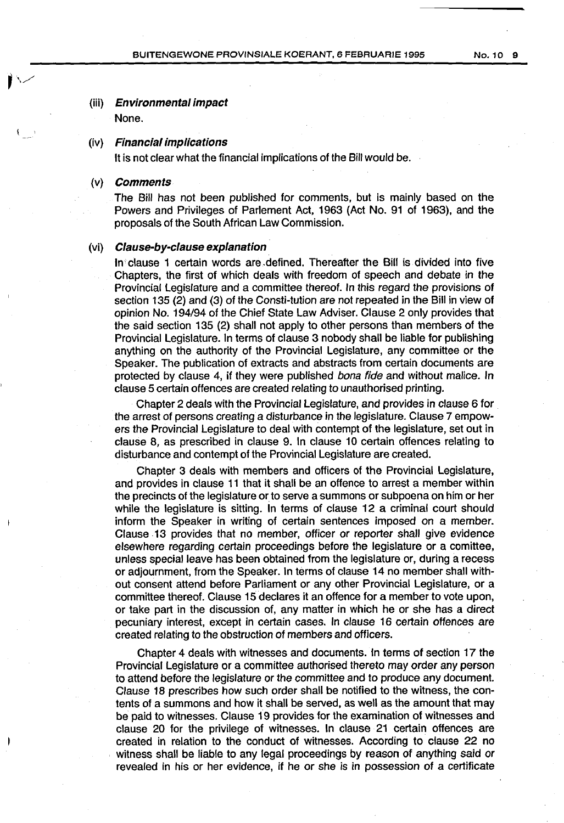#### (iii) Environmental impact

None.

#### (iv) Financial implications

It is not clear what the financial implications of the Bill would be.

#### (v) Comments

The Bill has not been published for comments, but is mainly based on the Powers and Privileges of Parlement Act, 1963 (Act No. 91 of 1963), and the proposals of the South African Law Commission.

#### (vi) Clause-by-clause explanation

In clause 1 certain words are .defined. Thereafter the Bill is divided into five Chapters, the first of which deals with freedom of speech and debate in the Provincial legislature and a committee thereof. In this regard the provisions of section 135 (2) and (3) of the Consti-tution are not repeated in the Bill in view of opinion No. 194/94 of the Chief State Law Adviser. Clause 2 only provides that the said section 135 (2) shall not apply to other persons than members of the Provincial legislature. In terms of clause 3 nobody shall be liable for publishing anything on the authority of the Provincial Legislature, any committee or the Speaker. The publication of extracts and abstracts from certain documents are protected by clause 4, if they were published bona fide and without malice. In clause 5 certain offences are created relating to unauthorised printing.

Chapter 2 deals with the Provincial Legislature, and provides in clause 6 for the arrest of persons creating a disturbance in the legislature. Clause 7 empowers the Provincial Legislature to deal with contempt of the legislature, set out in clause 8, as prescribed in clause 9. In clause 10 certain offences relating to disturbance and contempt of the Provincial Legislature are created.

Chapter 3 deals with members and officers of the Provincial Legislature, and provides in clause 11 that it shall be an offence to arrest a member within the precincts of the legislature or to serve a summons or subpoena on him or her while the legislature is sitting. In terms of clause 12 a criminal court should inform the Speaker in writing of certain sentences imposed on a member. Clause 13 provides that no member, officer or reporter shall give evidence elsewhere regarding certain proceedings before the legislature or a comittee, unless special leave has been obtained from the legislature or, during a recess or adjournment, from the Speaker. In terms of clause 14 no member shall without consent attend before Parliament or any other Provincial Legislature, or a committee thereof. Clause 15 declares it an offence for a member to vote upon, or take part in the discussion of, any matter in which he or she has a direct pecuniary interest, except in certain cases. In clause 16 certain offences are created relating to the obstruction of members and officers.

Chapter 4 deals with witnesses and documents. In terms of section 17 the Provincial Legislature or a committee authorised thereto may order any person to attend before the legislature or the committee and to produce any document. Clause 18 prescribes how such order shall be notified to the witness, the contents of a summons and how it shall be served, as well as the amount that may be paid to witnesses. Clause 19 provides for the examination of witnesses and clause 20 for the privilege of witnesses. In clause 21 certain offences are created in relation to the conduct of witnesses. According to clause 22 no witness shall be liable to any legal proceedings by reason of anything said or revealed in his or her evidence, if he or she is in possession of a certificate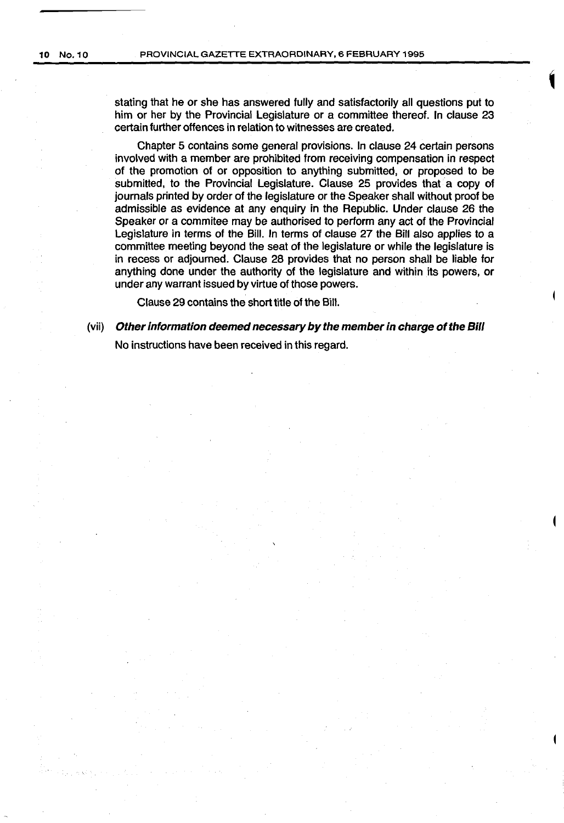stating that he or she has answered fully and satisfactorily all questions put to him or her by the Provincial Legislature or a committee thereof. In clause 23 certain further offences in relation to witnesses are created.

Chapter 5 contains some general provisions. In clause 24 certain persons involved with a member are prohibited from receiving compensation in respect of the promotion of or opposition to anything submitted, or proposed to be submitted, to the Provincial Legislature. Clause 25 provides that a copy of journals printed by order of the legislature or the Speaker shall without proof be admissible as evidence at any enquiry in the Republic. Under clause 26 the Speaker or a commitee may be authorised to perform any act of the Provincial Legislature in terms of the Bill. In terms of clause 27 the Bill also applies to a committee meeting beyond the seat of the legislature or while the legislature is in recess or adjourned. Clause 28 provides that no person shall be liable for anything done under the authority of the legislature and within its powers, or under any warrant issued by virtue of those powers.

Clause 29 contains the short title of the Bill.

(vii) Other information deemed necessary by the member in charge of the Bill No instructions have been received in this regard.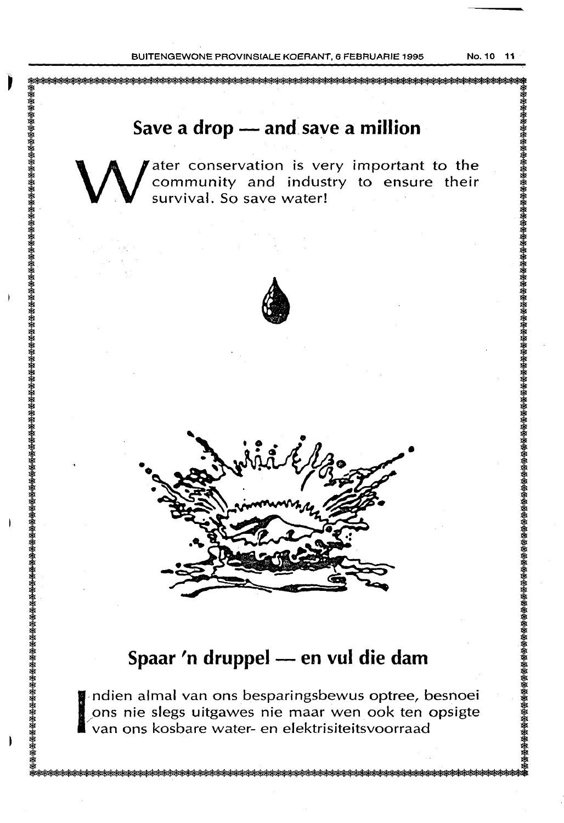$\overline{\phantom{a}}$ 

W ater conservation is very important to the community and industry to ensure their survival. So save water! community and industry to ensure their survival. So save water!





### **Spaar 'n druppel - en vul die dam**

I ndien almal van ons besparingsbewus optree, besnoei ons nie slegs uitgawes nie maar wen ook ten opsigte van ons kosbare water- en elektrisiteitsvoorraad pns nie slegs uitgawes nie maar wen ook ten opsigte /van ons kosbare water- en elektrisiteitsvoorraad

<del>潑鸄藔旇帹饏慦後慦篵嫎椄檪檪檪檪檪檪檪檪檪檪檪檪獉獉獉獉獉獉獉獉獉獉獉獉獉獉獉獉獉獉媇媇媇鋔蛖蝧湬湬湬湬湬湬湬梤蝧梤焲梤帹稄椄稄帹稄帹稄媇帹檪媇媣**瑹**猤<del>얧</del>桜<del>谈</del><br></del>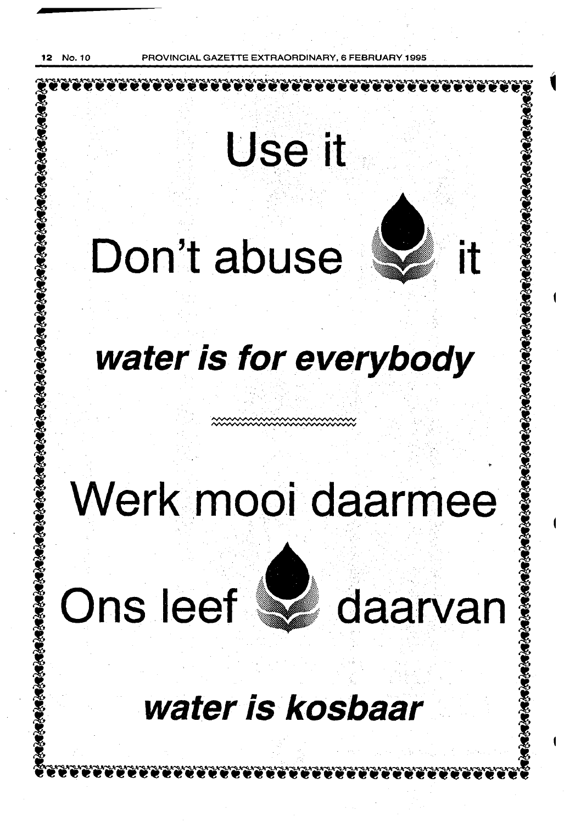No. 10 PROVINCIAL GAZETTE EXTRAORDINARY, 6 FEBRUARY, 6

Use it

# Don't abuse

# **water is for everybody**

# **Werk.mooi daarmee**

•

# Ons leef wad daarvan

## **water is kosbaar** ...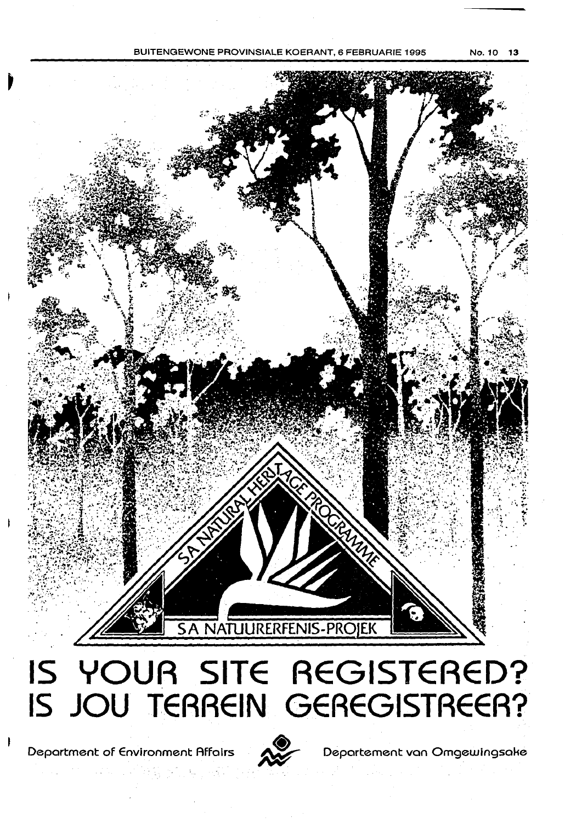



Department of Environment Affairs 2000 Departement van Omgewingsake

나라 나 영웅하다

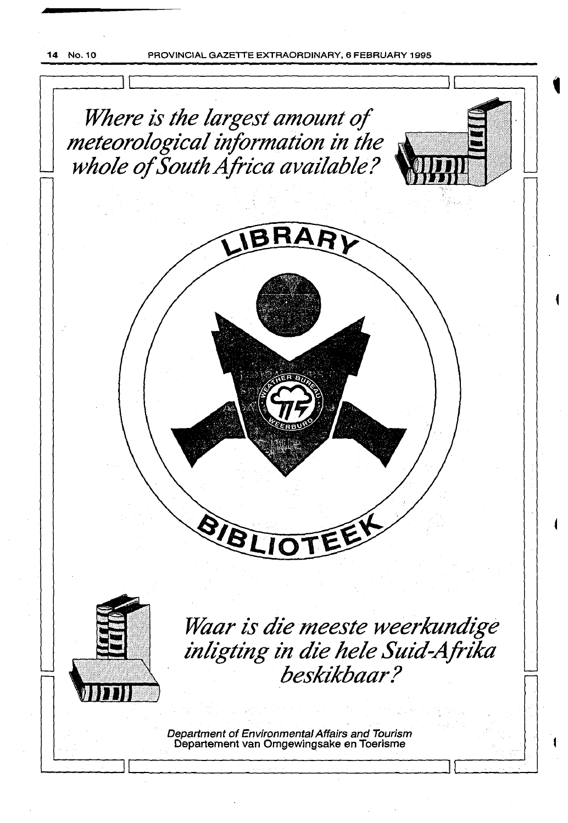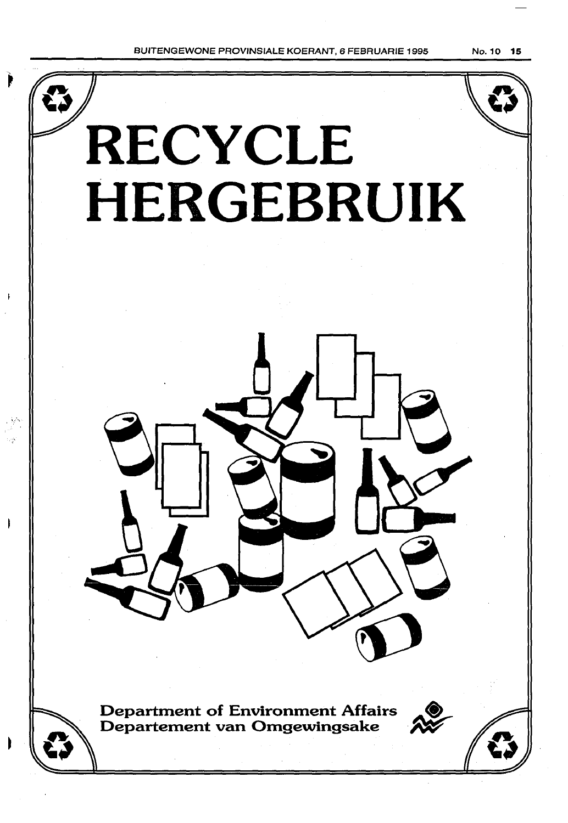

BUITENGEWONE PROVINSIALE KOERANT, 6 FEBRUARIE 1995

No. 10 15